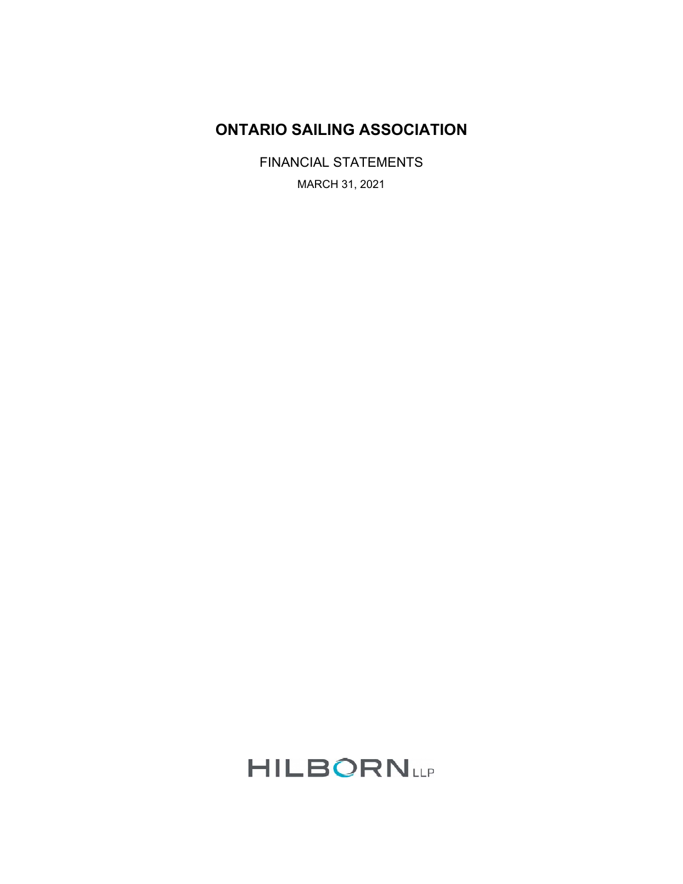FINANCIAL STATEMENTS MARCH 31, 2021

# **HILBORNLLP**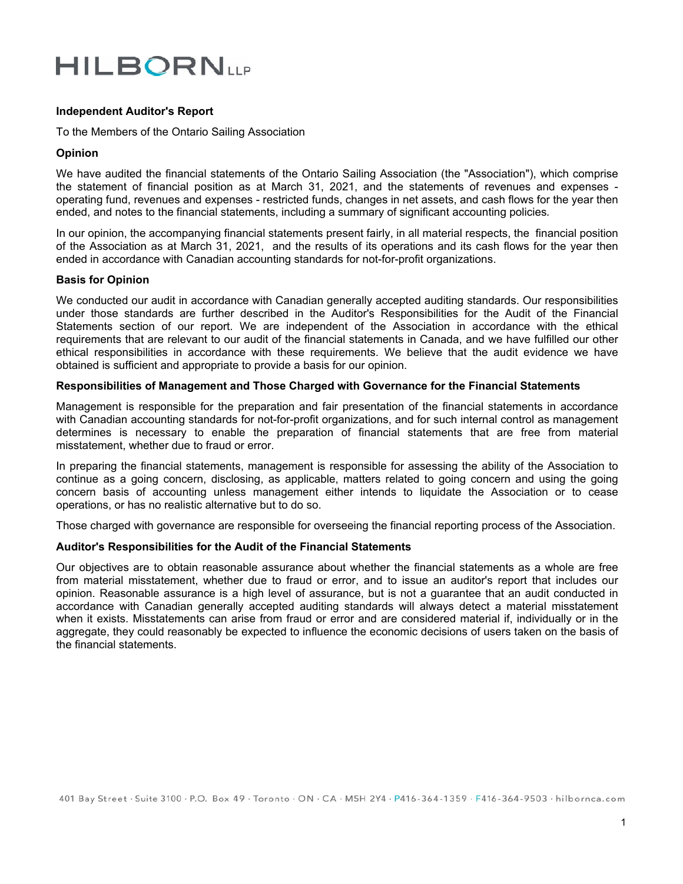# **HILBORN**

#### **Independent Auditor's Report**

To the Members of the Ontario Sailing Association

#### **Opinion**

We have audited the financial statements of the Ontario Sailing Association (the "Association"), which comprise the statement of financial position as at March 31, 2021, and the statements of revenues and expenses operating fund, revenues and expenses - restricted funds, changes in net assets, and cash flows for the year then ended, and notes to the financial statements, including a summary of significant accounting policies*.*

In our opinion, the accompanying financial statements present fairly, in all material respects, the financial position of the Association as at March 31, 2021, and the results of its operations and its cash flows for the year then ended in accordance with Canadian accounting standards for not-for-profit organizations.

#### **Basis for Opinion**

We conducted our audit in accordance with Canadian generally accepted auditing standards. Our responsibilities under those standards are further described in the Auditor's Responsibilities for the Audit of the Financial Statements section of our report. We are independent of the Association in accordance with the ethical requirements that are relevant to our audit of the financial statements in Canada, and we have fulfilled our other ethical responsibilities in accordance with these requirements. We believe that the audit evidence we have obtained is sufficient and appropriate to provide a basis for our opinion.

#### **Responsibilities of Management and Those Charged with Governance for the Financial Statements**

Management is responsible for the preparation and fair presentation of the financial statements in accordance with Canadian accounting standards for not-for-profit organizations, and for such internal control as management determines is necessary to enable the preparation of financial statements that are free from material misstatement, whether due to fraud or error.

In preparing the financial statements, management is responsible for assessing the ability of the Association to continue as a going concern, disclosing, as applicable, matters related to going concern and using the going concern basis of accounting unless management either intends to liquidate the Association or to cease operations, or has no realistic alternative but to do so.

Those charged with governance are responsible for overseeing the financial reporting process of the Association.

#### **Auditor's Responsibilities for the Audit of the Financial Statements**

Our objectives are to obtain reasonable assurance about whether the financial statements as a whole are free from material misstatement, whether due to fraud or error, and to issue an auditor's report that includes our opinion. Reasonable assurance is a high level of assurance, but is not a guarantee that an audit conducted in accordance with Canadian generally accepted auditing standards will always detect a material misstatement when it exists. Misstatements can arise from fraud or error and are considered material if, individually or in the aggregate, they could reasonably be expected to influence the economic decisions of users taken on the basis of the financial statements.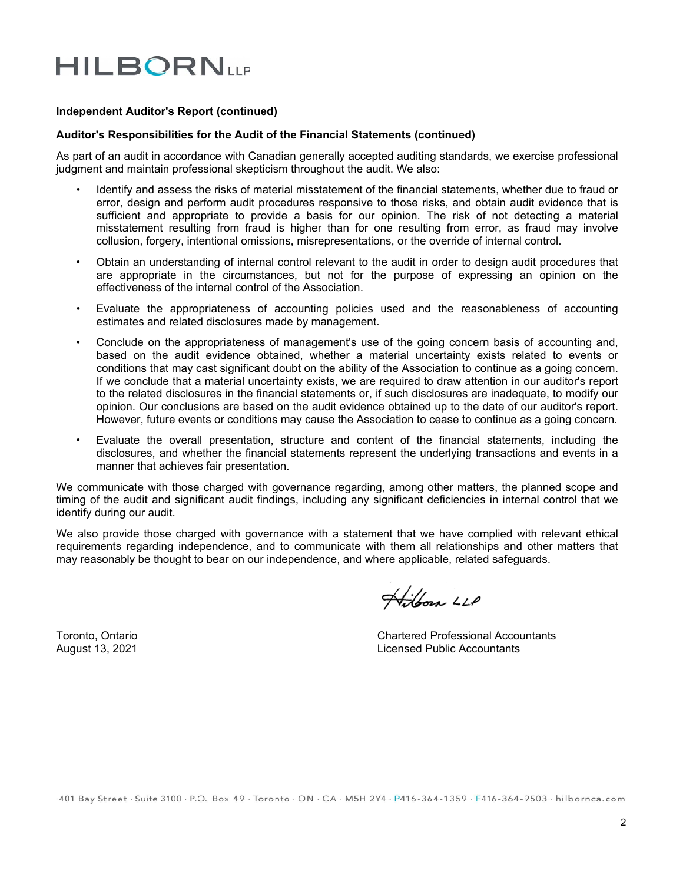# **HILBORNLLP**

#### **Independent Auditor's Report (continued)**

#### **Auditor's Responsibilities for the Audit of the Financial Statements (continued)**

As part of an audit in accordance with Canadian generally accepted auditing standards, we exercise professional judgment and maintain professional skepticism throughout the audit. We also:

- Identify and assess the risks of material misstatement of the financial statements, whether due to fraud or error, design and perform audit procedures responsive to those risks, and obtain audit evidence that is sufficient and appropriate to provide a basis for our opinion. The risk of not detecting a material misstatement resulting from fraud is higher than for one resulting from error, as fraud may involve collusion, forgery, intentional omissions, misrepresentations, or the override of internal control.
- Obtain an understanding of internal control relevant to the audit in order to design audit procedures that are appropriate in the circumstances, but not for the purpose of expressing an opinion on the effectiveness of the internal control of the Association.
- Evaluate the appropriateness of accounting policies used and the reasonableness of accounting estimates and related disclosures made by management.
- Conclude on the appropriateness of management's use of the going concern basis of accounting and, based on the audit evidence obtained, whether a material uncertainty exists related to events or conditions that may cast significant doubt on the ability of the Association to continue as a going concern. If we conclude that a material uncertainty exists, we are required to draw attention in our auditor's report to the related disclosures in the financial statements or, if such disclosures are inadequate, to modify our opinion. Our conclusions are based on the audit evidence obtained up to the date of our auditor's report. However, future events or conditions may cause the Association to cease to continue as a going concern.
- Evaluate the overall presentation, structure and content of the financial statements, including the disclosures, and whether the financial statements represent the underlying transactions and events in a manner that achieves fair presentation.

We communicate with those charged with governance regarding, among other matters, the planned scope and timing of the audit and significant audit findings, including any significant deficiencies in internal control that we identify during our audit.

We also provide those charged with governance with a statement that we have complied with relevant ethical requirements regarding independence, and to communicate with them all relationships and other matters that may reasonably be thought to bear on our independence, and where applicable, related safeguards.

Hilborn LLP

Toronto, Ontario Chartered Professional Accountants August 13, 2021 Licensed Public Accountants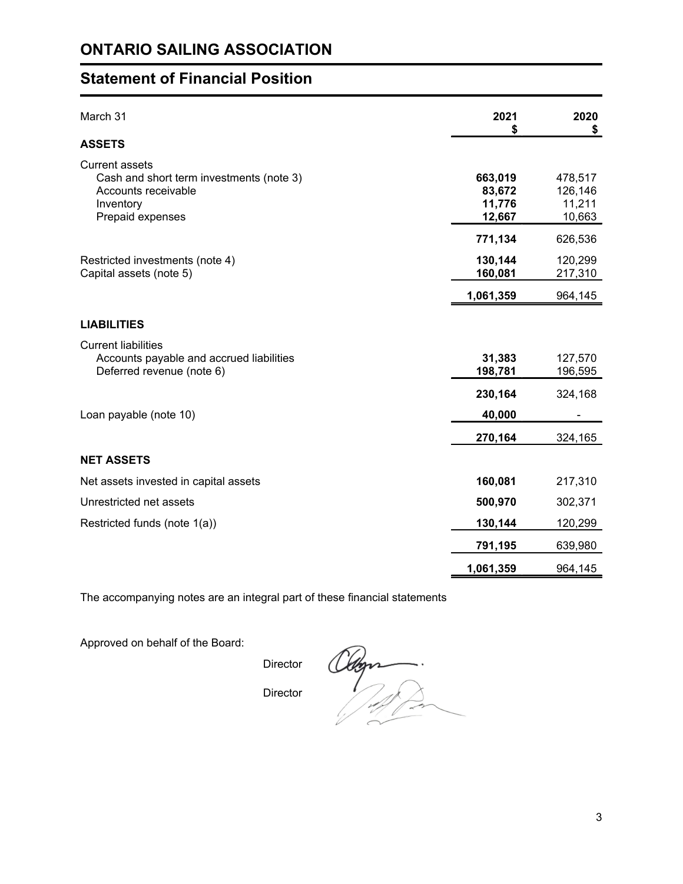### **Statement of Financial Position**

| March 31                                                                                                                  | 2021<br>\$                            | 2020<br>\$                             |
|---------------------------------------------------------------------------------------------------------------------------|---------------------------------------|----------------------------------------|
| <b>ASSETS</b>                                                                                                             |                                       |                                        |
| <b>Current assets</b><br>Cash and short term investments (note 3)<br>Accounts receivable<br>Inventory<br>Prepaid expenses | 663,019<br>83,672<br>11,776<br>12,667 | 478,517<br>126,146<br>11,211<br>10,663 |
|                                                                                                                           | 771,134                               | 626,536                                |
| Restricted investments (note 4)<br>Capital assets (note 5)                                                                | 130,144<br>160,081                    | 120,299<br>217,310                     |
|                                                                                                                           | 1,061,359                             | 964,145                                |
| <b>LIABILITIES</b>                                                                                                        |                                       |                                        |
| <b>Current liabilities</b><br>Accounts payable and accrued liabilities<br>Deferred revenue (note 6)                       | 31,383<br>198,781                     | 127,570<br>196,595                     |
|                                                                                                                           | 230,164                               | 324,168                                |
| Loan payable (note 10)                                                                                                    | 40,000                                |                                        |
|                                                                                                                           | 270,164                               | 324,165                                |
| <b>NET ASSETS</b>                                                                                                         |                                       |                                        |
| Net assets invested in capital assets                                                                                     | 160,081                               | 217,310                                |
| Unrestricted net assets                                                                                                   | 500,970                               | 302,371                                |
| Restricted funds (note 1(a))                                                                                              | 130,144                               | 120,299                                |
|                                                                                                                           | 791,195                               | 639,980                                |
|                                                                                                                           | 1,061,359                             | 964,145                                |

The accompanying notes are an integral part of these financial statements

Approved on behalf of the Board:

Director

Olgen

Director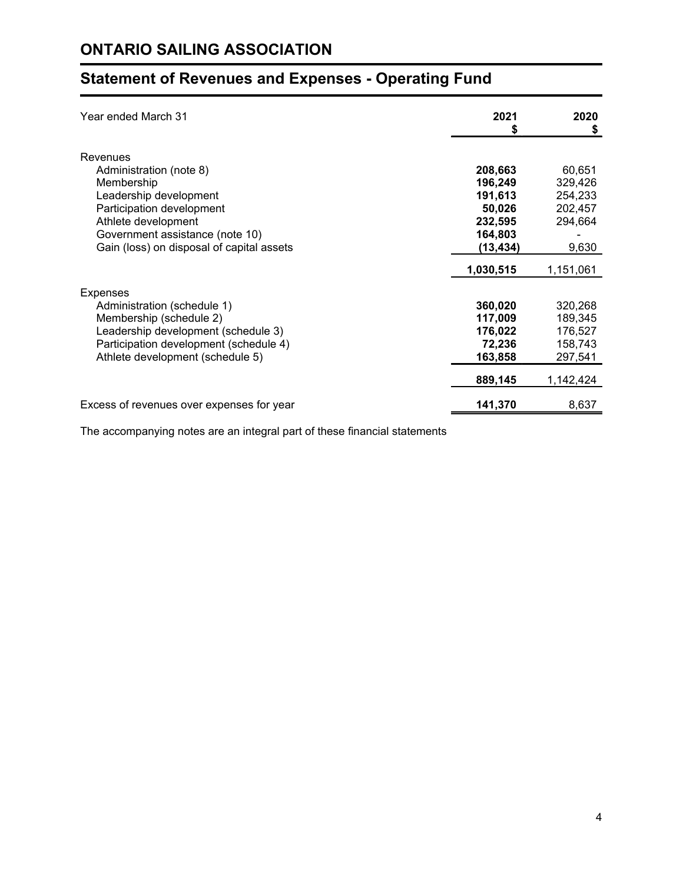### **Statement of Revenues and Expenses - Operating Fund**

| Year ended March 31                                                                                                                                                                                             | 2021<br>S                                                                  | 2020<br>\$                                                       |
|-----------------------------------------------------------------------------------------------------------------------------------------------------------------------------------------------------------------|----------------------------------------------------------------------------|------------------------------------------------------------------|
| Revenues<br>Administration (note 8)<br>Membership<br>Leadership development<br>Participation development<br>Athlete development<br>Government assistance (note 10)<br>Gain (loss) on disposal of capital assets | 208,663<br>196,249<br>191,613<br>50,026<br>232,595<br>164,803<br>(13, 434) | 60,651<br>329,426<br>254,233<br>202,457<br>294,664<br>9,630      |
| <b>Expenses</b><br>Administration (schedule 1)<br>Membership (schedule 2)<br>Leadership development (schedule 3)<br>Participation development (schedule 4)<br>Athlete development (schedule 5)                  | 1,030,515<br>360,020<br>117,009<br>176,022<br>72,236<br>163,858            | 1,151,061<br>320,268<br>189,345<br>176,527<br>158,743<br>297,541 |
| Excess of revenues over expenses for year                                                                                                                                                                       | 889,145<br>141,370                                                         | 1,142,424<br>8,637                                               |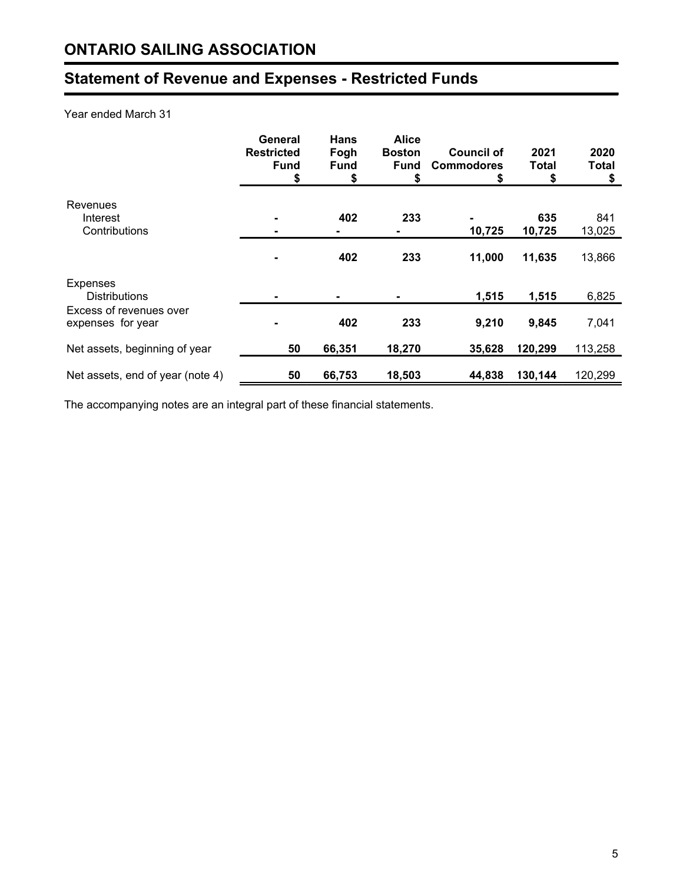### **Statement of Revenue and Expenses - Restricted Funds**

#### Year ended March 31

|                                              | General<br><b>Restricted</b><br><b>Fund</b><br>\$ | Hans<br>Fogh<br><b>Fund</b><br>\$ | <b>Alice</b><br><b>Boston</b><br><b>Fund</b><br>\$ | <b>Council of</b><br><b>Commodores</b><br>\$ | 2021<br>Total<br>\$ | 2020<br><b>Total</b><br>\$ |
|----------------------------------------------|---------------------------------------------------|-----------------------------------|----------------------------------------------------|----------------------------------------------|---------------------|----------------------------|
| Revenues<br>Interest<br>Contributions        |                                                   | 402                               | 233                                                | 10,725                                       | 635<br>10,725       | 841<br>13,025              |
|                                              |                                                   | 402                               | 233                                                | 11,000                                       | 11,635              | 13,866                     |
| <b>Expenses</b><br><b>Distributions</b>      | ۰                                                 |                                   |                                                    | 1,515                                        | 1,515               | 6,825                      |
| Excess of revenues over<br>expenses for year |                                                   | 402                               | 233                                                | 9,210                                        | 9,845               | 7,041                      |
| Net assets, beginning of year                | 50                                                | 66,351                            | 18,270                                             | 35,628                                       | 120,299             | 113,258                    |
| Net assets, end of year (note 4)             | 50                                                | 66,753                            | 18,503                                             | 44,838                                       | 130,144             | 120,299                    |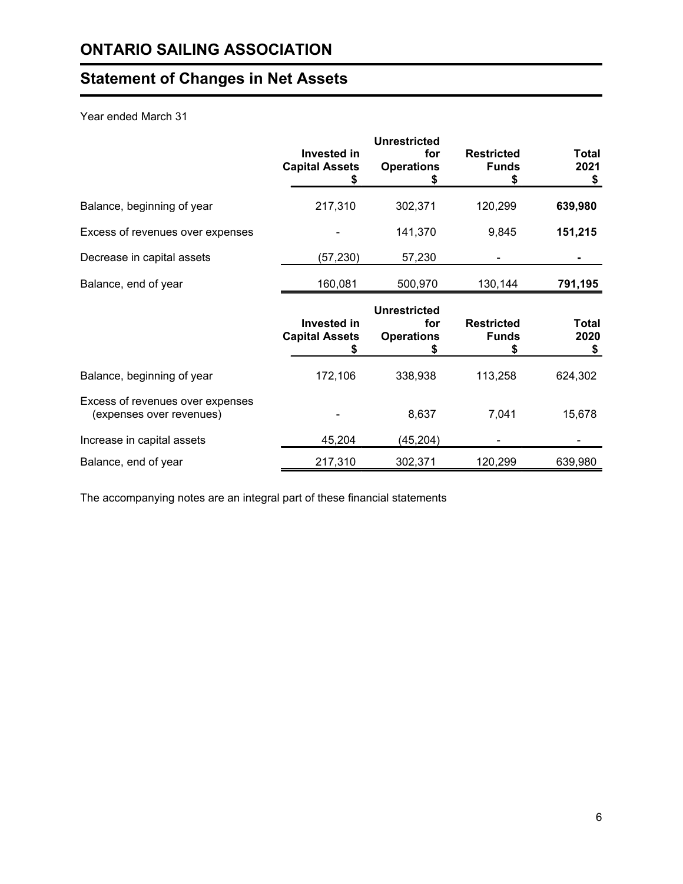### **Statement of Changes in Net Assets**

#### Year ended March 31

|                                                              |                                             | <b>Unrestricted</b>                                  |                                        |                            |
|--------------------------------------------------------------|---------------------------------------------|------------------------------------------------------|----------------------------------------|----------------------------|
|                                                              | <b>Invested in</b><br><b>Capital Assets</b> | for<br><b>Operations</b><br>S                        | <b>Restricted</b><br><b>Funds</b><br>5 | Total<br>2021<br>\$        |
| Balance, beginning of year                                   | 217,310                                     | 302,371                                              | 120,299                                | 639,980                    |
| Excess of revenues over expenses                             |                                             | 141,370                                              | 9,845                                  | 151,215                    |
| Decrease in capital assets                                   | (57, 230)                                   | 57,230                                               |                                        |                            |
| Balance, end of year                                         | 160,081                                     | 500,970                                              | 130,144                                | 791,195                    |
|                                                              | Invested in<br><b>Capital Assets</b>        | <b>Unrestricted</b><br>for<br><b>Operations</b><br>5 | <b>Restricted</b><br><b>Funds</b>      | <b>Total</b><br>2020<br>\$ |
| Balance, beginning of year                                   | 172,106                                     | 338,938                                              | 113,258                                | 624,302                    |
| Excess of revenues over expenses<br>(expenses over revenues) |                                             | 8,637                                                | 7,041                                  | 15,678                     |
| Increase in capital assets                                   | 45,204                                      | (45, 204)                                            |                                        |                            |
| Balance, end of year                                         | 217,310                                     | 302,371                                              | 120,299                                | 639,980                    |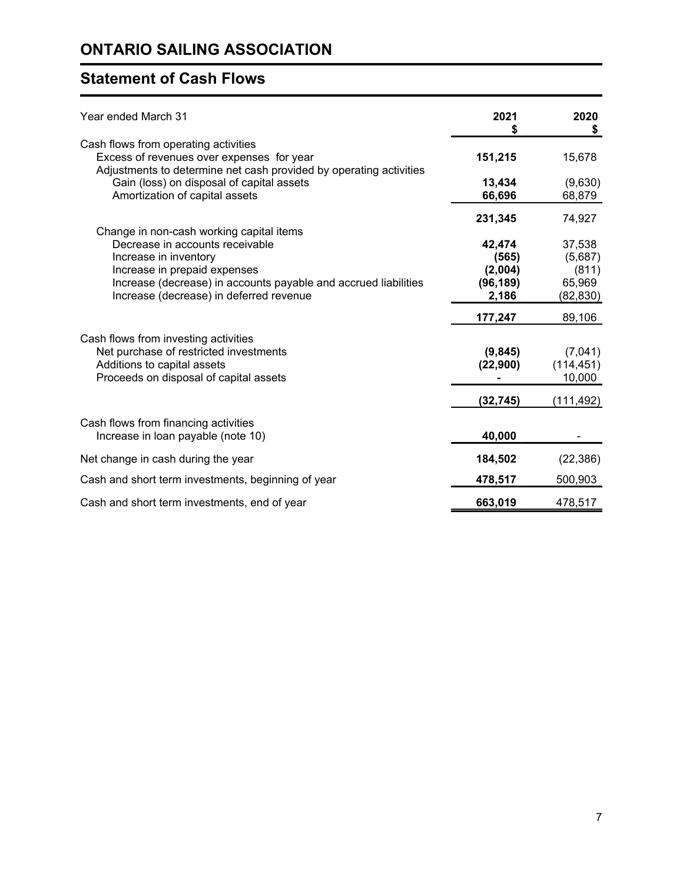### **Statement of Cash Flows**

| Year ended March 31                                                                                                                                     | 2021                 | 2020<br>S.                      |
|---------------------------------------------------------------------------------------------------------------------------------------------------------|----------------------|---------------------------------|
| Cash flows from operating activities<br>Excess of revenues over expenses for year<br>Adjustments to determine net cash provided by operating activities | 151,215              | 15,678                          |
| Gain (loss) on disposal of capital assets<br>Amortization of capital assets                                                                             | 13,434<br>66,696     | (9,630)<br>68,879               |
| Change in non-cash working capital items                                                                                                                | 231,345              | 74,927                          |
| Decrease in accounts receivable<br>Increase in inventory                                                                                                | 42,474<br>(565)      | 37,538<br>(5,687)               |
| Increase in prepaid expenses<br>Increase (decrease) in accounts payable and accrued liabilities                                                         | (2,004)<br>(96, 189) | (811)<br>65,969                 |
| Increase (decrease) in deferred revenue                                                                                                                 | 2,186<br>177,247     | (82,830)<br>89,106              |
| Cash flows from investing activities                                                                                                                    |                      |                                 |
| Net purchase of restricted investments<br>Additions to capital assets<br>Proceeds on disposal of capital assets                                         | (9, 845)<br>(22,900) | (7,041)<br>(114, 451)<br>10,000 |
|                                                                                                                                                         | (32,745)             | (111,492)                       |
| Cash flows from financing activities<br>Increase in loan payable (note 10)                                                                              | 40,000               |                                 |
| Net change in cash during the year                                                                                                                      | 184,502              | (22, 386)                       |
| Cash and short term investments, beginning of year                                                                                                      | 478,517              | 500,903                         |
| Cash and short term investments, end of year                                                                                                            | 663,019              | 478,517                         |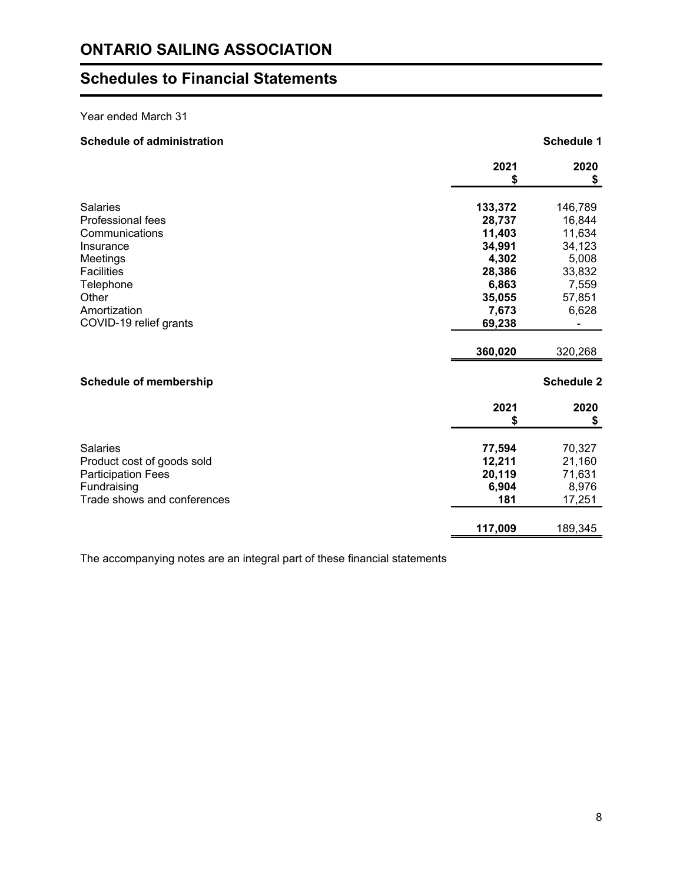### **Schedules to Financial Statements**

#### Year ended March 31

| <b>Schedule of administration</b> |         | <b>Schedule 1</b> |
|-----------------------------------|---------|-------------------|
|                                   | 2021    | 2020              |
|                                   | \$      | \$                |
| <b>Salaries</b>                   | 133,372 | 146,789           |
| <b>Professional fees</b>          | 28,737  | 16,844            |
| Communications                    | 11,403  | 11,634            |
| Insurance                         | 34,991  | 34,123            |
| Meetings                          | 4,302   | 5,008             |
| <b>Facilities</b>                 | 28,386  | 33,832            |
| Telephone                         | 6,863   | 7,559             |
| Other                             | 35,055  | 57,851            |
| Amortization                      | 7,673   | 6,628             |
| COVID-19 relief grants            | 69,238  |                   |
|                                   | 360,020 | 320,268           |
| <b>Schedule of membership</b>     |         | <b>Schedule 2</b> |
|                                   | 2021    | 2020              |
|                                   | \$      | \$                |
| <b>Salaries</b>                   | 77,594  | 70,327            |
| Product cost of goods sold        | 12,211  | 21,160            |
| <b>Participation Fees</b>         | 20,119  | 71,631            |
| Fundraising                       | 6,904   | 8,976             |
| Trade shows and conferences       | 181     | 17,251            |
|                                   |         |                   |
|                                   | 117,009 | 189,345           |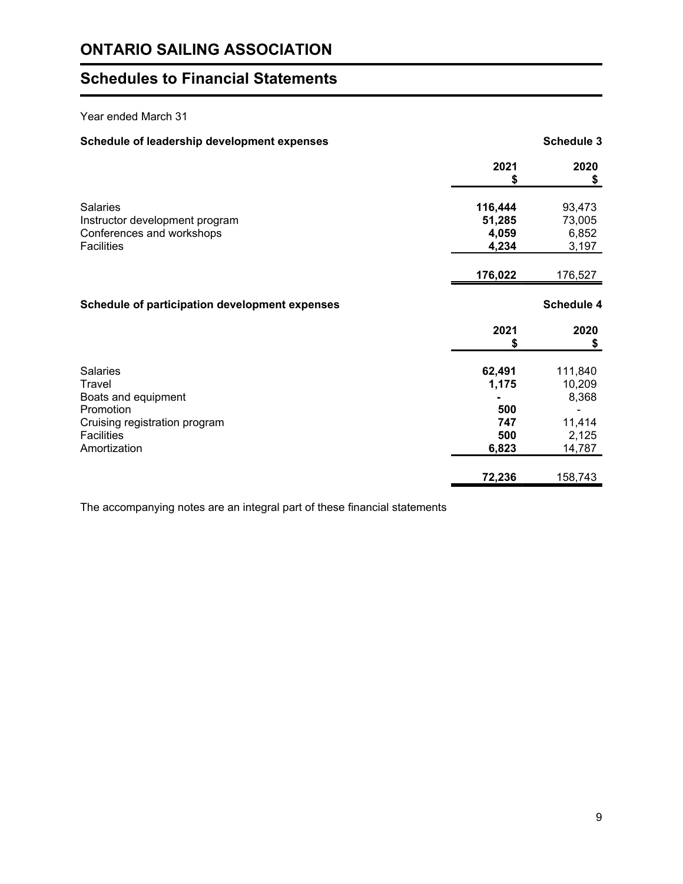### **Schedules to Financial Statements**

#### Year ended March 31

#### Schedule of leadership development expenses **Schedule 3** Schedule 3

|                                                | 2021<br>\$ | 2020<br>\$        |
|------------------------------------------------|------------|-------------------|
| <b>Salaries</b>                                | 116,444    | 93,473            |
| Instructor development program                 | 51,285     | 73,005            |
| Conferences and workshops                      | 4,059      | 6,852             |
| <b>Facilities</b>                              | 4,234      | 3,197             |
|                                                | 176,022    | 176,527           |
| Schedule of participation development expenses |            | <b>Schedule 4</b> |
|                                                | 2021<br>\$ | 2020<br>\$        |
| <b>Salaries</b>                                | 62,491     | 111,840           |
| Travel                                         | 1,175      | 10,209            |
| Boats and equipment                            |            | 8,368             |
| Promotion                                      | 500        |                   |
| Cruising registration program                  | 747        | 11,414            |
| <b>Facilities</b>                              | 500        | 2,125             |
| Amortization                                   | 6,823      | 14,787            |
|                                                | 72,236     | 158,743           |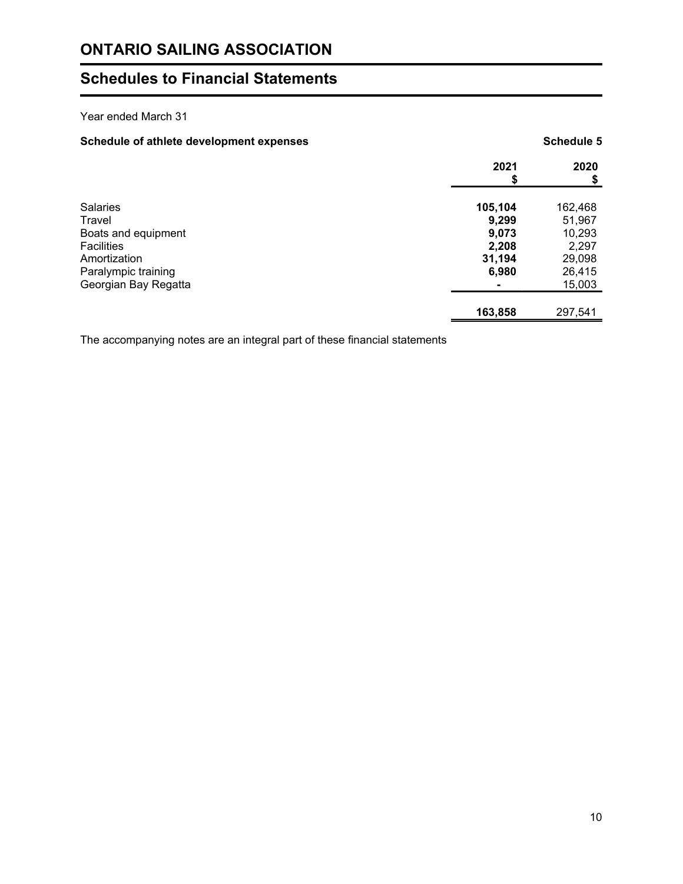### **Schedules to Financial Statements**

#### Year ended March 31

#### Schedule of athlete development expenses **Schedule 5** Schedule 5

|                      | 2021<br>S | 2020<br>\$ |
|----------------------|-----------|------------|
| <b>Salaries</b>      | 105,104   | 162,468    |
| Travel               | 9,299     | 51,967     |
|                      |           |            |
| Boats and equipment  | 9,073     | 10,293     |
| <b>Facilities</b>    | 2,208     | 2,297      |
| Amortization         | 31,194    | 29,098     |
| Paralympic training  | 6,980     | 26,415     |
| Georgian Bay Regatta |           | 15,003     |
|                      |           |            |
|                      | 163,858   | 297,541    |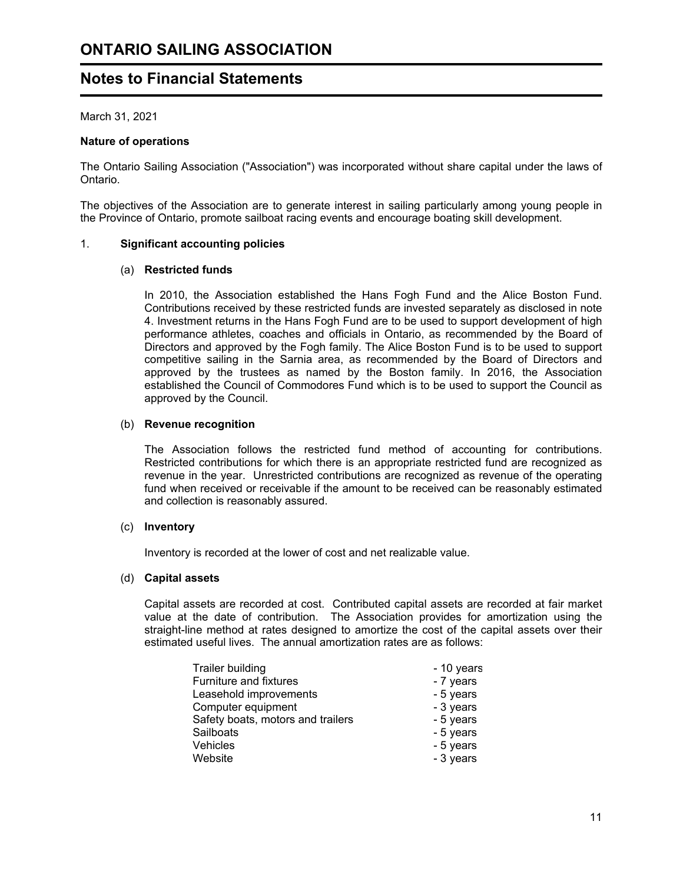### **Notes to Financial Statements**

March 31, 2021

#### **Nature of operations**

The Ontario Sailing Association ("Association") was incorporated without share capital under the laws of Ontario.

The objectives of the Association are to generate interest in sailing particularly among young people in the Province of Ontario, promote sailboat racing events and encourage boating skill development.

#### 1. **Significant accounting policies**

#### (a) **Restricted funds**

In 2010, the Association established the Hans Fogh Fund and the Alice Boston Fund. Contributions received by these restricted funds are invested separately as disclosed in note 4. Investment returns in the Hans Fogh Fund are to be used to support development of high performance athletes, coaches and officials in Ontario, as recommended by the Board of Directors and approved by the Fogh family. The Alice Boston Fund is to be used to support competitive sailing in the Sarnia area, as recommended by the Board of Directors and approved by the trustees as named by the Boston family. In 2016, the Association established the Council of Commodores Fund which is to be used to support the Council as approved by the Council.

#### (b) **Revenue recognition**

The Association follows the restricted fund method of accounting for contributions. Restricted contributions for which there is an appropriate restricted fund are recognized as revenue in the year. Unrestricted contributions are recognized as revenue of the operating fund when received or receivable if the amount to be received can be reasonably estimated and collection is reasonably assured.

#### (c) **Inventory**

Inventory is recorded at the lower of cost and net realizable value.

#### (d) **Capital assets**

Capital assets are recorded at cost. Contributed capital assets are recorded at fair market value at the date of contribution. The Association provides for amortization using the straight-line method at rates designed to amortize the cost of the capital assets over their estimated useful lives. The annual amortization rates are as follows:

| <b>Trailer building</b>           | - 10 years |
|-----------------------------------|------------|
| Furniture and fixtures            | - 7 years  |
| Leasehold improvements            | - 5 years  |
| Computer equipment                | - 3 years  |
| Safety boats, motors and trailers | - 5 years  |
| Sailboats                         | - 5 years  |
| Vehicles                          | - 5 years  |
| Website                           | - 3 years  |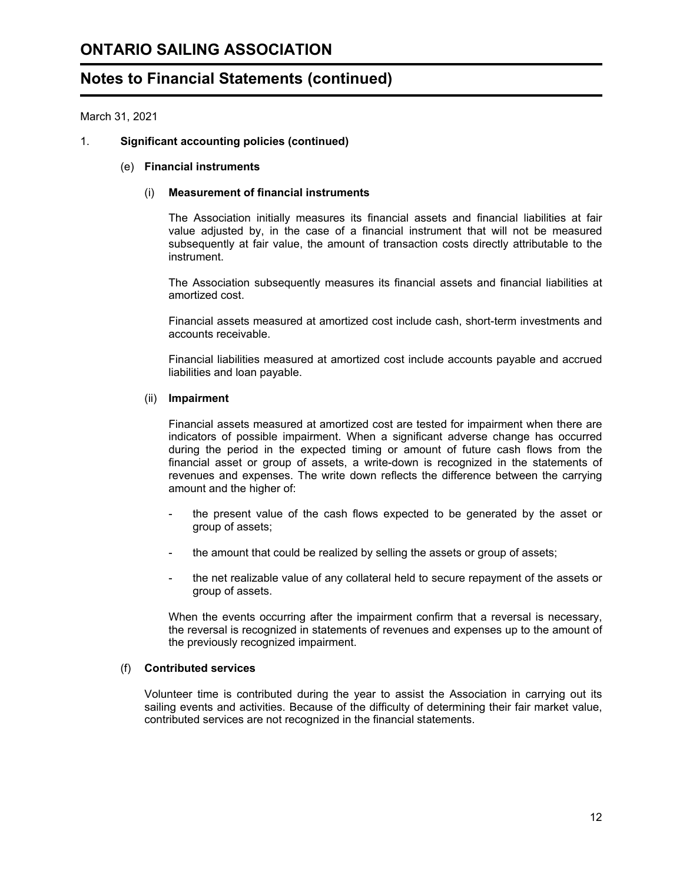### **Notes to Financial Statements (continued)**

March 31, 2021

#### 1. **Significant accounting policies (continued)**

#### (e) **Financial instruments**

#### (i) **Measurement of financial instruments**

The Association initially measures its financial assets and financial liabilities at fair value adjusted by, in the case of a financial instrument that will not be measured subsequently at fair value, the amount of transaction costs directly attributable to the instrument.

The Association subsequently measures its financial assets and financial liabilities at amortized cost.

Financial assets measured at amortized cost include cash, short-term investments and accounts receivable.

Financial liabilities measured at amortized cost include accounts payable and accrued liabilities and loan payable.

#### (ii) **Impairment**

Financial assets measured at amortized cost are tested for impairment when there are indicators of possible impairment. When a significant adverse change has occurred during the period in the expected timing or amount of future cash flows from the financial asset or group of assets, a write-down is recognized in the statements of revenues and expenses. The write down reflects the difference between the carrying amount and the higher of:

- the present value of the cash flows expected to be generated by the asset or group of assets;
- the amount that could be realized by selling the assets or group of assets;
- the net realizable value of any collateral held to secure repayment of the assets or group of assets.

When the events occurring after the impairment confirm that a reversal is necessary, the reversal is recognized in statements of revenues and expenses up to the amount of the previously recognized impairment.

#### (f) **Contributed services**

Volunteer time is contributed during the year to assist the Association in carrying out its sailing events and activities. Because of the difficulty of determining their fair market value, contributed services are not recognized in the financial statements.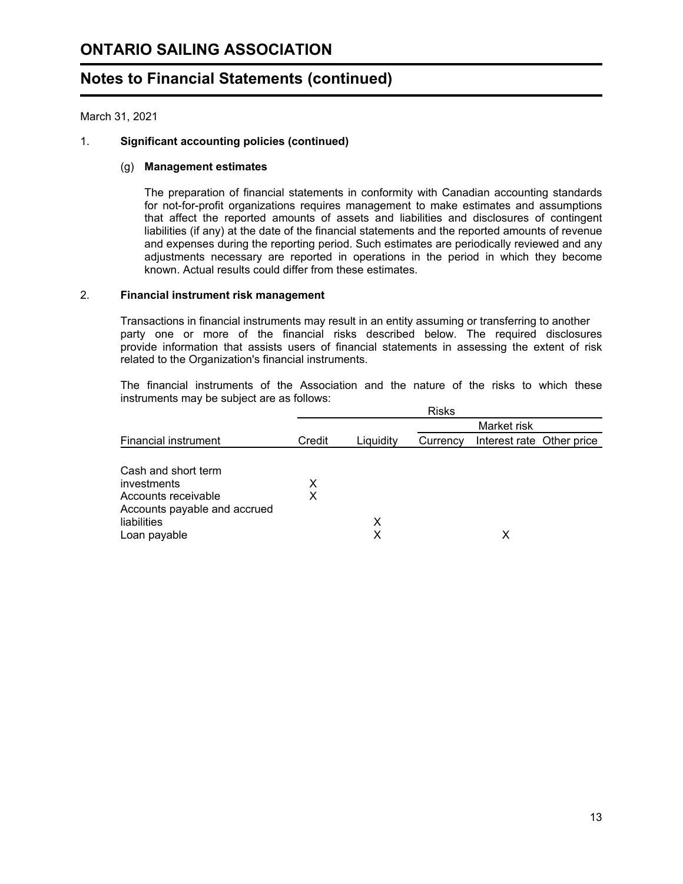### **Notes to Financial Statements (continued)**

March 31, 2021

#### 1. **Significant accounting policies (continued)**

#### (g) **Management estimates**

The preparation of financial statements in conformity with Canadian accounting standards for not-for-profit organizations requires management to make estimates and assumptions that affect the reported amounts of assets and liabilities and disclosures of contingent liabilities (if any) at the date of the financial statements and the reported amounts of revenue and expenses during the reporting period. Such estimates are periodically reviewed and any adjustments necessary are reported in operations in the period in which they become known. Actual results could differ from these estimates.

#### 2. **Financial instrument risk management**

Transactions in financial instruments may result in an entity assuming or transferring to another party one or more of the financial risks described below. The required disclosures provide information that assists users of financial statements in assessing the extent of risk related to the Organization's financial instruments.

The financial instruments of the Association and the nature of the risks to which these instruments may be subject are as follows:

|                                                                                                          |        |           | <b>Risks</b> |                           |  |
|----------------------------------------------------------------------------------------------------------|--------|-----------|--------------|---------------------------|--|
|                                                                                                          |        |           |              | Market risk               |  |
| Financial instrument                                                                                     | Credit | Liquidity | Currency     | Interest rate Other price |  |
| Cash and short term<br>investments<br>Accounts receivable<br>Accounts payable and accrued<br>liabilities | х<br>х | х<br>х    |              | х                         |  |
| Loan payable                                                                                             |        |           |              |                           |  |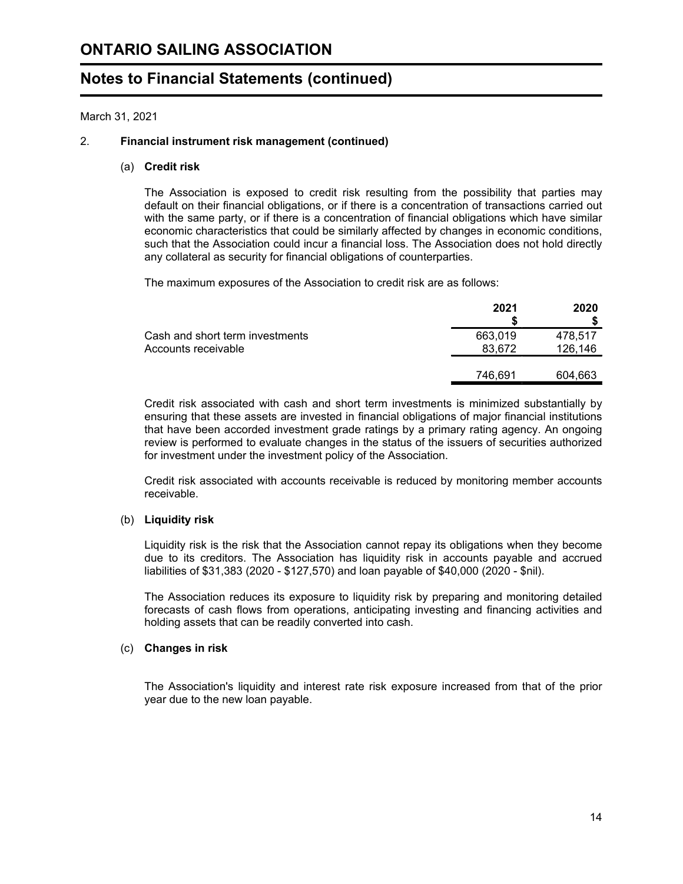March 31, 2021

#### 2. **Financial instrument risk management (continued)**

#### (a) **Credit risk**

The Association is exposed to credit risk resulting from the possibility that parties may default on their financial obligations, or if there is a concentration of transactions carried out with the same party, or if there is a concentration of financial obligations which have similar economic characteristics that could be similarly affected by changes in economic conditions, such that the Association could incur a financial loss. The Association does not hold directly any collateral as security for financial obligations of counterparties.

The maximum exposures of the Association to credit risk are as follows:

|                                                        | 2021              | 2020               |
|--------------------------------------------------------|-------------------|--------------------|
| Cash and short term investments<br>Accounts receivable | 663.019<br>83.672 | 478,517<br>126,146 |
|                                                        | 746.691           | 604,663            |

Credit risk associated with cash and short term investments is minimized substantially by ensuring that these assets are invested in financial obligations of major financial institutions that have been accorded investment grade ratings by a primary rating agency. An ongoing review is performed to evaluate changes in the status of the issuers of securities authorized for investment under the investment policy of the Association.

Credit risk associated with accounts receivable is reduced by monitoring member accounts receivable.

#### (b) **Liquidity risk**

Liquidity risk is the risk that the Association cannot repay its obligations when they become due to its creditors. The Association has liquidity risk in accounts payable and accrued liabilities of \$31,383 (2020 - \$127,570) and loan payable of \$40,000 (2020 - \$nil).

The Association reduces its exposure to liquidity risk by preparing and monitoring detailed forecasts of cash flows from operations, anticipating investing and financing activities and holding assets that can be readily converted into cash.

#### (c) **Changes in risk**

The Association's liquidity and interest rate risk exposure increased from that of the prior year due to the new loan payable.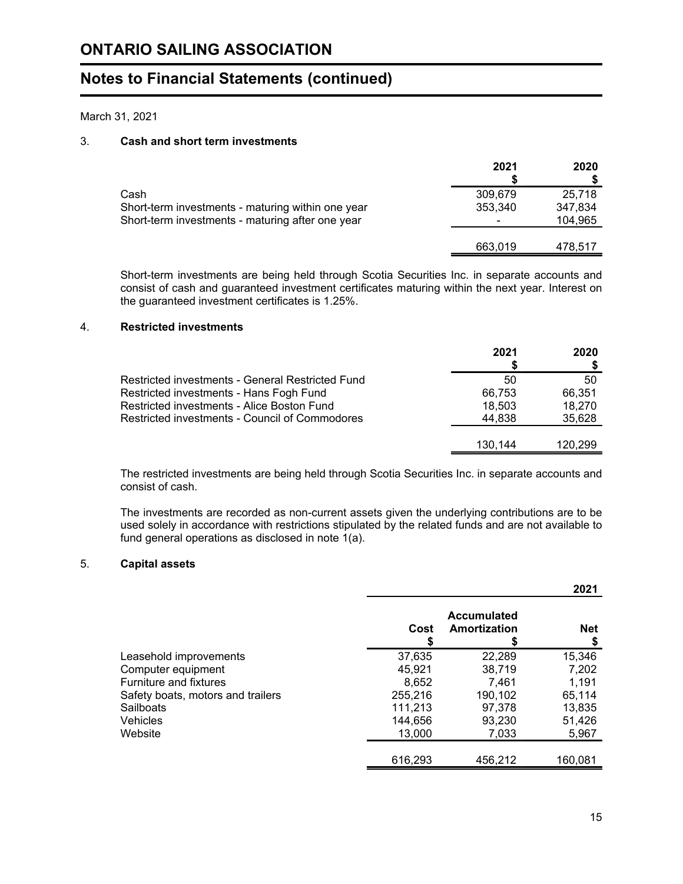#### March 31, 2021

#### 3. **Cash and short term investments**

|                                                   | 2021    | 2020    |
|---------------------------------------------------|---------|---------|
| Cash                                              | 309,679 | 25.718  |
| Short-term investments - maturing within one year | 353,340 | 347,834 |
| Short-term investments - maturing after one year  |         | 104,965 |
|                                                   |         |         |
|                                                   | 663,019 | 478,517 |

Short-term investments are being held through Scotia Securities Inc. in separate accounts and consist of cash and guaranteed investment certificates maturing within the next year. Interest on the guaranteed investment certificates is 1.25%.

#### 4. **Restricted investments**

|                                                  | 2021    | 2020    |
|--------------------------------------------------|---------|---------|
| Restricted investments - General Restricted Fund | 50      | 50      |
| Restricted investments - Hans Fogh Fund          | 66,753  | 66.351  |
| Restricted investments - Alice Boston Fund       | 18,503  | 18,270  |
| Restricted investments - Council of Commodores   | 44,838  | 35,628  |
|                                                  | 130.144 | 120.299 |

The restricted investments are being held through Scotia Securities Inc. in separate accounts and consist of cash.

The investments are recorded as non-current assets given the underlying contributions are to be used solely in accordance with restrictions stipulated by the related funds and are not available to fund general operations as disclosed in note 1(a).

#### 5. **Capital assets**

|                                   |           |                                    | 2021       |
|-----------------------------------|-----------|------------------------------------|------------|
|                                   | Cost<br>S | <b>Accumulated</b><br>Amortization | <b>Net</b> |
| Leasehold improvements            | 37,635    | 22,289                             | 15,346     |
| Computer equipment                | 45.921    | 38.719                             | 7,202      |
| Furniture and fixtures            | 8,652     | 7.461                              | 1.191      |
| Safety boats, motors and trailers | 255,216   | 190,102                            | 65.114     |
| <b>Sailboats</b>                  | 111,213   | 97,378                             | 13,835     |
| <b>Vehicles</b>                   | 144.656   | 93.230                             | 51,426     |
| Website                           | 13,000    | 7,033                              | 5,967      |
|                                   | 616,293   | 456,212                            | 160,081    |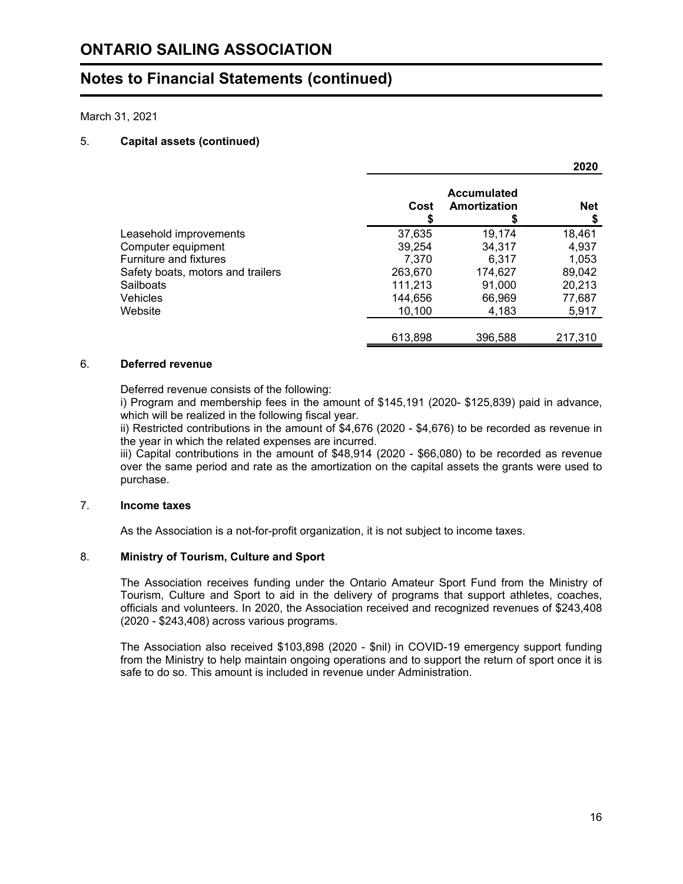March 31, 2021

#### 5. **Capital assets (continued)**

|                                   |         |                                    | ZUZU             |
|-----------------------------------|---------|------------------------------------|------------------|
|                                   | Cost    | <b>Accumulated</b><br>Amortization | <b>Net</b><br>\$ |
| Leasehold improvements            | 37,635  | 19,174                             | 18,461           |
| Computer equipment                | 39.254  | 34,317                             | 4,937            |
| Furniture and fixtures            | 7,370   | 6.317                              | 1,053            |
| Safety boats, motors and trailers | 263,670 | 174,627                            | 89,042           |
| <b>Sailboats</b>                  | 111,213 | 91,000                             | 20,213           |
| Vehicles                          | 144,656 | 66,969                             | 77,687           |
| Website                           | 10,100  | 4,183                              | 5,917            |
|                                   | 613,898 | 396,588                            | 217,310          |

#### 6. **Deferred revenue**

Deferred revenue consists of the following:

i) Program and membership fees in the amount of \$145,191 (2020- \$125,839) paid in advance, which will be realized in the following fiscal year.

ii) Restricted contributions in the amount of \$4,676 (2020 - \$4,676) to be recorded as revenue in the year in which the related expenses are incurred.

iii) Capital contributions in the amount of \$48,914 (2020 - \$66,080) to be recorded as revenue over the same period and rate as the amortization on the capital assets the grants were used to purchase.

#### 7. **Income taxes**

As the Association is a not-for-profit organization, it is not subject to income taxes.

#### 8. **Ministry of Tourism, Culture and Sport**

The Association receives funding under the Ontario Amateur Sport Fund from the Ministry of Tourism, Culture and Sport to aid in the delivery of programs that support athletes, coaches, officials and volunteers. In 2020, the Association received and recognized revenues of \$243,408 (2020 - \$243,408) across various programs.

The Association also received \$103,898 (2020 - \$nil) in COVID-19 emergency support funding from the Ministry to help maintain ongoing operations and to support the return of sport once it is safe to do so. This amount is included in revenue under Administration.

**2020**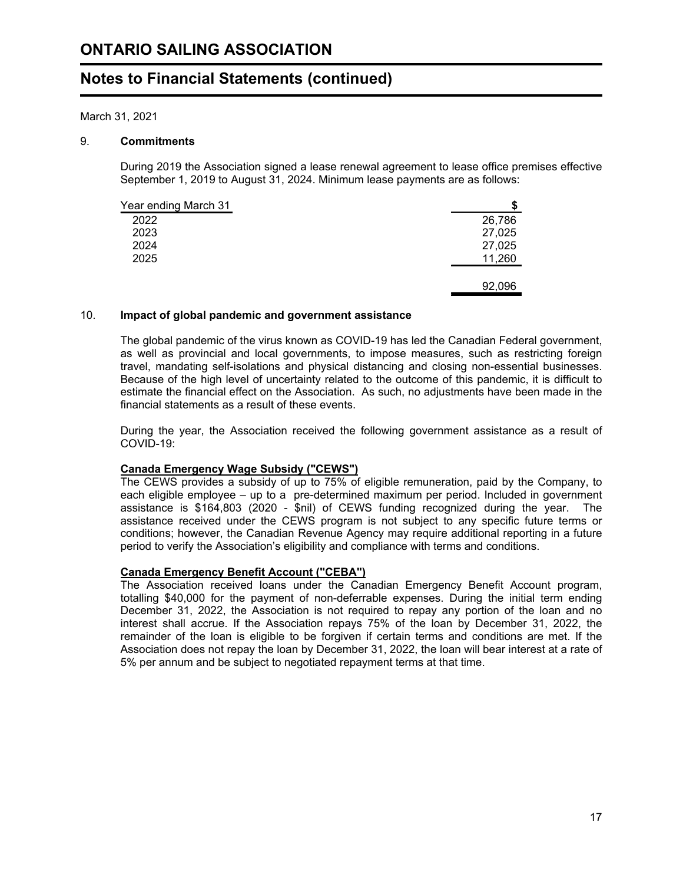March 31, 2021

#### 9. **Commitments**

During 2019 the Association signed a lease renewal agreement to lease office premises effective September 1, 2019 to August 31, 2024. Minimum lease payments are as follows:

| Year ending March 31 | æ      |
|----------------------|--------|
| 2022                 | 26,786 |
| 2023                 | 27,025 |
| 2024                 | 27,025 |
| 2025                 | 11,260 |
|                      |        |
|                      | 92,096 |

#### 10. **Impact of global pandemic and government assistance**

The global pandemic of the virus known as COVID-19 has led the Canadian Federal government, as well as provincial and local governments, to impose measures, such as restricting foreign travel, mandating self-isolations and physical distancing and closing non-essential businesses. Because of the high level of uncertainty related to the outcome of this pandemic, it is difficult to estimate the financial effect on the Association. As such, no adjustments have been made in the financial statements as a result of these events.

During the year, the Association received the following government assistance as a result of COVID-19:

#### **Canada Emergency Wage Subsidy ("CEWS")**

The CEWS provides a subsidy of up to 75% of eligible remuneration, paid by the Company, to each eligible employee – up to a pre-determined maximum per period. Included in government assistance is \$164,803 (2020 - \$nil) of CEWS funding recognized during the year. The assistance received under the CEWS program is not subject to any specific future terms or conditions; however, the Canadian Revenue Agency may require additional reporting in a future period to verify the Association's eligibility and compliance with terms and conditions.

#### **Canada Emergency Benefit Account ("CEBA")**

The Association received loans under the Canadian Emergency Benefit Account program, totalling \$40,000 for the payment of non-deferrable expenses. During the initial term ending December 31, 2022, the Association is not required to repay any portion of the loan and no interest shall accrue. If the Association repays 75% of the loan by December 31, 2022, the remainder of the loan is eligible to be forgiven if certain terms and conditions are met. If the Association does not repay the loan by December 31, 2022, the loan will bear interest at a rate of 5% per annum and be subject to negotiated repayment terms at that time.